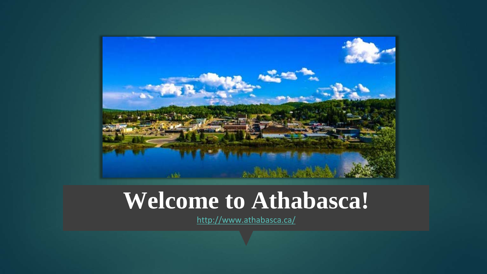

#### **Welcome to Athabasca!**

<http://www.athabasca.ca/>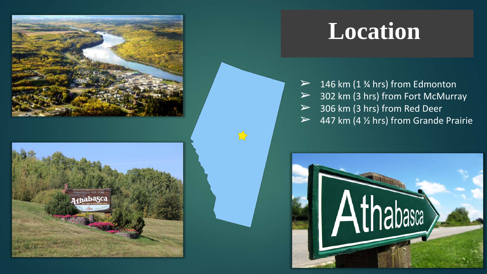



### **Location**

 $\geq$  146 km (1 % hrs) from Edmonton  $>$  302 km (3 hrs) from Fort McMurray  $>$  306 km (3 hrs) from Red Deer  $\geq$  447 km (4  $\frac{1}{2}$  hrs) from Grande Prairie

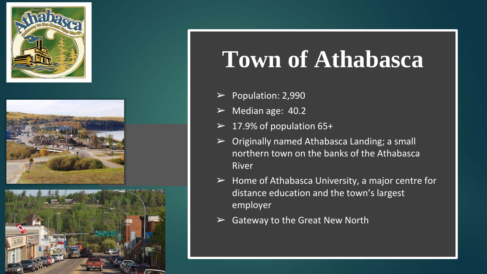





## **Town of Athabasca**

- $\blacktriangleright$  Population: 2,990
- $\triangleright$  Median age: 40.2
- $\geq 17.9\%$  of population 65+
- $\triangleright$  Originally named Athabasca Landing; a small northern town on the banks of the Athabasca River
- $\triangleright$  Home of Athabasca University, a major centre for distance education and the town's largest employer
- $\triangleright$  Gateway to the Great New North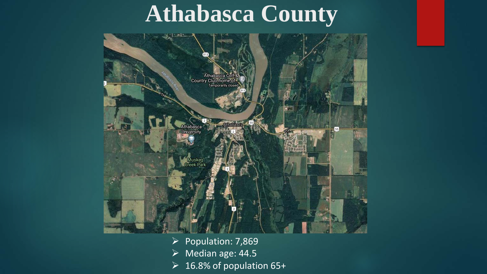### **Athabasca County**



 $\triangleright$  Population: 7,869  $\triangleright$  Median age: 44.5  $\geq 16.8\%$  of population 65+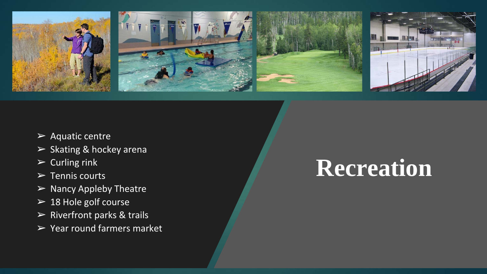

- $\triangleright$  Aquatic centre
- ➢ Skating & hockey arena
- $\triangleright$  Curling rink
- $\triangleright$  Tennis courts
- $\triangleright$  Nancy Appleby Theatre
- $\geq 18$  Hole golf course
- $\triangleright$  Riverfront parks & trails
- $\triangleright$  Year round farmers market

### **Recreation**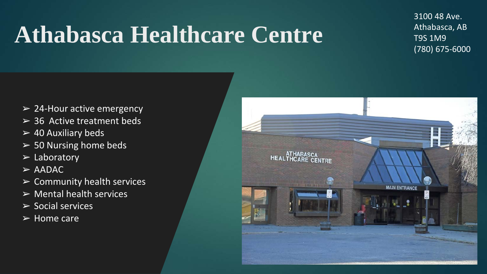## **Athabasca Healthcare Centre**

3100 48 Ave. Athabasca, AB T9S 1M9 (780) 675-6000

- $\geq$  24-Hour active emergency
- $>$  36 Active treatment beds
- $\geq 40$  Auxiliary beds
- $>$  50 Nursing home beds
- $\triangleright$  Laboratory
- $>$  AADAC
- $\triangleright$  Community health services
- $\triangleright$  Mental health services
- $\triangleright$  Social services
- $\triangleright$  Home care

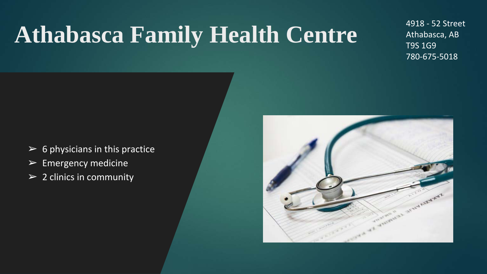# **Athabasca Family Health Centre**

4918 - 52 Street Athabasca, AB T9S 1G9 780-675-5018

- $\triangleright$  6 physicians in this practice
- $\triangleright$  Emergency medicine
- $\geq 2$  clinics in community